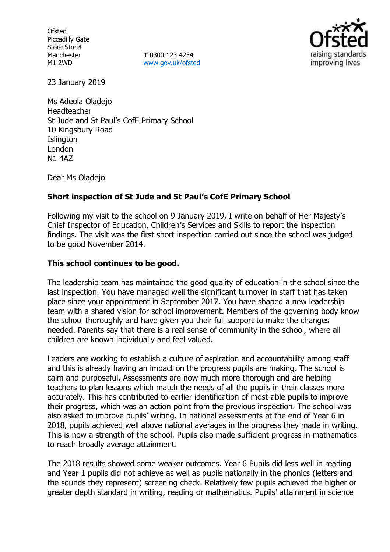**Ofsted** Piccadilly Gate Store Street Manchester M1 2WD

**T** 0300 123 4234 [www.gov.uk/ofsted](http://www.gov.uk/ofsted)



23 January 2019

Ms Adeola Oladejo Headteacher St Jude and St Paul's CofE Primary School 10 Kingsbury Road **Islington** London N1 4AZ

Dear Ms Oladejo

## **Short inspection of St Jude and St Paul's CofE Primary School**

Following my visit to the school on 9 January 2019, I write on behalf of Her Majesty's Chief Inspector of Education, Children's Services and Skills to report the inspection findings. The visit was the first short inspection carried out since the school was judged to be good November 2014.

## **This school continues to be good.**

The leadership team has maintained the good quality of education in the school since the last inspection. You have managed well the significant turnover in staff that has taken place since your appointment in September 2017. You have shaped a new leadership team with a shared vision for school improvement. Members of the governing body know the school thoroughly and have given you their full support to make the changes needed. Parents say that there is a real sense of community in the school, where all children are known individually and feel valued.

Leaders are working to establish a culture of aspiration and accountability among staff and this is already having an impact on the progress pupils are making. The school is calm and purposeful. Assessments are now much more thorough and are helping teachers to plan lessons which match the needs of all the pupils in their classes more accurately. This has contributed to earlier identification of most-able pupils to improve their progress, which was an action point from the previous inspection. The school was also asked to improve pupils' writing. In national assessments at the end of Year 6 in 2018, pupils achieved well above national averages in the progress they made in writing. This is now a strength of the school. Pupils also made sufficient progress in mathematics to reach broadly average attainment.

The 2018 results showed some weaker outcomes. Year 6 Pupils did less well in reading and Year 1 pupils did not achieve as well as pupils nationally in the phonics (letters and the sounds they represent) screening check. Relatively few pupils achieved the higher or greater depth standard in writing, reading or mathematics. Pupils' attainment in science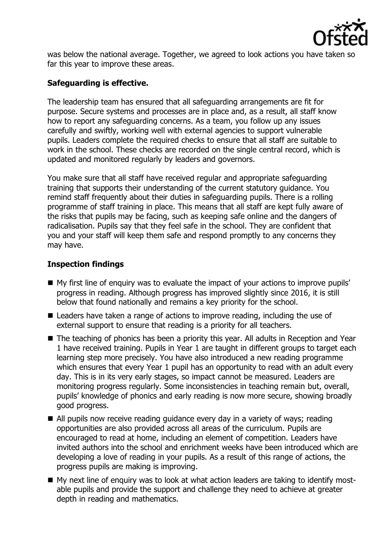

was below the national average. Together, we agreed to look actions you have taken so far this year to improve these areas.

# **Safeguarding is effective.**

The leadership team has ensured that all safeguarding arrangements are fit for purpose. Secure systems and processes are in place and, as a result, all staff know how to report any safeguarding concerns. As a team, you follow up any issues carefully and swiftly, working well with external agencies to support vulnerable pupils. Leaders complete the required checks to ensure that all staff are suitable to work in the school. These checks are recorded on the single central record, which is updated and monitored regularly by leaders and governors.

You make sure that all staff have received regular and appropriate safeguarding training that supports their understanding of the current statutory guidance. You remind staff frequently about their duties in safeguarding pupils. There is a rolling programme of staff training in place. This means that all staff are kept fully aware of the risks that pupils may be facing, such as keeping safe online and the dangers of radicalisation. Pupils say that they feel safe in the school. They are confident that you and your staff will keep them safe and respond promptly to any concerns they may have.

## **Inspection findings**

- My first line of enquiry was to evaluate the impact of your actions to improve pupils' progress in reading. Although progress has improved slightly since 2016, it is still below that found nationally and remains a key priority for the school.
- Leaders have taken a range of actions to improve reading, including the use of external support to ensure that reading is a priority for all teachers.
- The teaching of phonics has been a priority this year. All adults in Reception and Year 1 have received training. Pupils in Year 1 are taught in different groups to target each learning step more precisely. You have also introduced a new reading programme which ensures that every Year 1 pupil has an opportunity to read with an adult every day. This is in its very early stages, so impact cannot be measured. Leaders are monitoring progress regularly. Some inconsistencies in teaching remain but, overall, pupils' knowledge of phonics and early reading is now more secure, showing broadly good progress.
- All pupils now receive reading quidance every day in a variety of ways; reading opportunities are also provided across all areas of the curriculum. Pupils are encouraged to read at home, including an element of competition. Leaders have invited authors into the school and enrichment weeks have been introduced which are developing a love of reading in your pupils. As a result of this range of actions, the progress pupils are making is improving.
- My next line of enquiry was to look at what action leaders are taking to identify mostable pupils and provide the support and challenge they need to achieve at greater depth in reading and mathematics.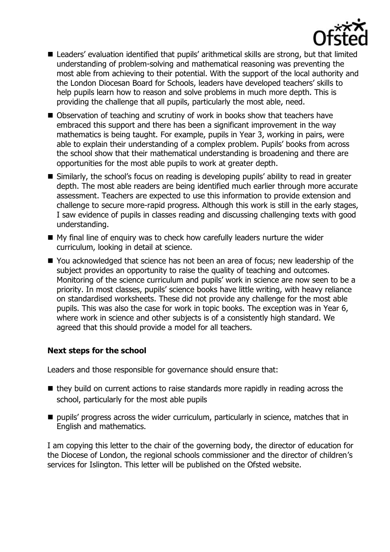

- Leaders' evaluation identified that pupils' arithmetical skills are strong, but that limited understanding of problem-solving and mathematical reasoning was preventing the most able from achieving to their potential. With the support of the local authority and the London Diocesan Board for Schools, leaders have developed teachers' skills to help pupils learn how to reason and solve problems in much more depth. This is providing the challenge that all pupils, particularly the most able, need.
- Observation of teaching and scrutiny of work in books show that teachers have embraced this support and there has been a significant improvement in the way mathematics is being taught. For example, pupils in Year 3, working in pairs, were able to explain their understanding of a complex problem. Pupils' books from across the school show that their mathematical understanding is broadening and there are opportunities for the most able pupils to work at greater depth.
- Similarly, the school's focus on reading is developing pupils' ability to read in greater depth. The most able readers are being identified much earlier through more accurate assessment. Teachers are expected to use this information to provide extension and challenge to secure more-rapid progress. Although this work is still in the early stages, I saw evidence of pupils in classes reading and discussing challenging texts with good understanding.
- My final line of enquiry was to check how carefully leaders nurture the wider curriculum, looking in detail at science.
- You acknowledged that science has not been an area of focus; new leadership of the subject provides an opportunity to raise the quality of teaching and outcomes. Monitoring of the science curriculum and pupils' work in science are now seen to be a priority. In most classes, pupils' science books have little writing, with heavy reliance on standardised worksheets. These did not provide any challenge for the most able pupils. This was also the case for work in topic books. The exception was in Year 6, where work in science and other subjects is of a consistently high standard. We agreed that this should provide a model for all teachers.

## **Next steps for the school**

Leaders and those responsible for governance should ensure that:

- $\blacksquare$  they build on current actions to raise standards more rapidly in reading across the school, particularly for the most able pupils
- pupils' progress across the wider curriculum, particularly in science, matches that in English and mathematics.

I am copying this letter to the chair of the governing body, the director of education for the Diocese of London, the regional schools commissioner and the director of children's services for Islington. This letter will be published on the Ofsted website.